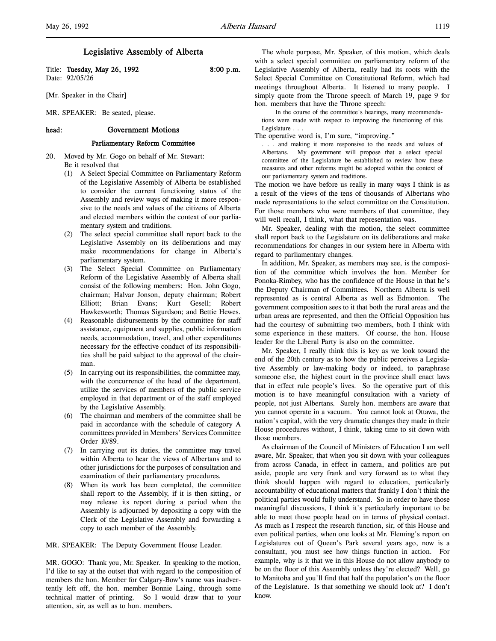Title: Tuesday, May 26, 1992 8:00 p.m. Date: 92/05/26

[Mr. Speaker in the Chair]

MR. SPEAKER: Be seated, please.

### head: Government Motions

## Parliamentary Reform Committee

- 20. Moved by Mr. Gogo on behalf of Mr. Stewart: Be it resolved that
	- (1) A Select Special Committee on Parliamentary Reform of the Legislative Assembly of Alberta be established to consider the current functioning status of the Assembly and review ways of making it more responsive to the needs and values of the citizens of Alberta and elected members within the context of our parliamentary system and traditions.
	- (2) The select special committee shall report back to the Legislative Assembly on its deliberations and may make recommendations for change in Alberta's parliamentary system.
	- (3) The Select Special Committee on Parliamentary Reform of the Legislative Assembly of Alberta shall consist of the following members: Hon. John Gogo, chairman; Halvar Jonson, deputy chairman; Robert Elliott; Brian Evans; Kurt Gesell; Robert Hawkesworth; Thomas Sigurdson; and Bettie Hewes.
	- (4) Reasonable disbursements by the committee for staff assistance, equipment and supplies, public information needs, accommodation, travel, and other expenditures necessary for the effective conduct of its responsibilities shall be paid subject to the approval of the chairman.
	- (5) In carrying out its responsibilities, the committee may, with the concurrence of the head of the department, utilize the services of members of the public service employed in that department or of the staff employed by the Legislative Assembly.
	- (6) The chairman and members of the committee shall be paid in accordance with the schedule of category A committees provided in Members' Services Committee Order 10/89.
	- (7) In carrying out its duties, the committee may travel within Alberta to hear the views of Albertans and to other jurisdictions for the purposes of consultation and examination of their parliamentary procedures.
	- (8) When its work has been completed, the committee shall report to the Assembly, if it is then sitting, or may release its report during a period when the Assembly is adjourned by depositing a copy with the Clerk of the Legislative Assembly and forwarding a copy to each member of the Assembly.

MR. SPEAKER: The Deputy Government House Leader.

MR. GOGO: Thank you, Mr. Speaker. In speaking to the motion, I'd like to say at the outset that with regard to the composition of members the hon. Member for Calgary-Bow's name was inadvertently left off, the hon. member Bonnie Laing, through some technical matter of printing. So I would draw that to your attention, sir, as well as to hon. members.

The whole purpose, Mr. Speaker, of this motion, which deals with a select special committee on parliamentary reform of the Legislative Assembly of Alberta, really had its roots with the Select Special Committee on Constitutional Reform, which had meetings throughout Alberta. It listened to many people. I simply quote from the Throne speech of March 19, page 9 for hon. members that have the Throne speech:

In the course of the committee's hearings, many recommendations were made with respect to improving the functioning of this Legislature . . .

The operative word is, I'm sure, "improving."

. . . and making it more responsive to the needs and values of Albertans. My government will propose that a select special committee of the Legislature be established to review how these measures and other reforms might be adopted within the context of our parliamentary system and traditions.

The motion we have before us really in many ways I think is as a result of the views of the tens of thousands of Albertans who made representations to the select committee on the Constitution. For those members who were members of that committee, they will well recall, I think, what that representation was.

Mr. Speaker, dealing with the motion, the select committee shall report back to the Legislature on its deliberations and make recommendations for changes in our system here in Alberta with regard to parliamentary changes.

In addition, Mr. Speaker, as members may see, is the composition of the committee which involves the hon. Member for Ponoka-Rimbey, who has the confidence of the House in that he's the Deputy Chairman of Committees. Northern Alberta is well represented as is central Alberta as well as Edmonton. The government composition sees to it that both the rural areas and the urban areas are represented, and then the Official Opposition has had the courtesy of submitting two members, both I think with some experience in these matters. Of course, the hon. House leader for the Liberal Party is also on the committee.

Mr. Speaker, I really think this is key as we look toward the end of the 20th century as to how the public perceives a Legislative Assembly or law-making body or indeed, to paraphrase someone else, the highest court in the province shall enact laws that in effect rule people's lives. So the operative part of this motion is to have meaningful consultation with a variety of people, not just Albertans. Surely hon. members are aware that you cannot operate in a vacuum. You cannot look at Ottawa, the nation's capital, with the very dramatic changes they made in their House procedures without, I think, taking time to sit down with those members.

As chairman of the Council of Ministers of Education I am well aware, Mr. Speaker, that when you sit down with your colleagues from across Canada, in effect in camera, and politics are put aside, people are very frank and very forward as to what they think should happen with regard to education, particularly accountability of educational matters that frankly I don't think the political parties would fully understand. So in order to have those meaningful discussions, I think it's particularly important to be able to meet those people head on in terms of physical contact. As much as I respect the research function, sir, of this House and even political parties, when one looks at Mr. Fleming's report on Legislatures out of Queen's Park several years ago, now is a consultant, you must see how things function in action. For example, why is it that we in this House do not allow anybody to be on the floor of this Assembly unless they're elected? Well, go to Manitoba and you'll find that half the population's on the floor of the Legislature. Is that something we should look at? I don't know.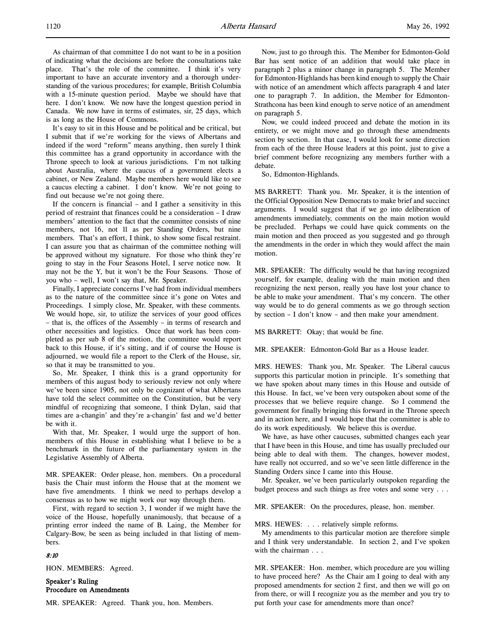It's easy to sit in this House and be political and be critical, but I submit that if we're working for the views of Albertans and indeed if the word "reform" means anything, then surely I think this committee has a grand opportunity in accordance with the Throne speech to look at various jurisdictions. I'm not talking about Australia, where the caucus of a government elects a cabinet, or New Zealand. Maybe members here would like to see a caucus electing a cabinet. I don't know. We're not going to find out because we're not going there.

If the concern is financial – and I gather a sensitivity in this period of restraint that finances could be a consideration – I draw members' attention to the fact that the committee consists of nine members, not 16, not 11 as per Standing Orders, but nine members. That's an effort, I think, to show some fiscal restraint. I can assure you that as chairman of the committee nothing will be approved without my signature. For those who think they're going to stay in the Four Seasons Hotel, I serve notice now. It may not be the Y, but it won't be the Four Seasons. Those of you who – well, I won't say that, Mr. Speaker.

Finally, I appreciate concerns I've had from individual members as to the nature of the committee since it's gone on Votes and Proceedings. I simply close, Mr. Speaker, with these comments. We would hope, sir, to utilize the services of your good offices – that is, the offices of the Assembly – in terms of research and other necessities and logistics. Once that work has been completed as per sub 8 of the motion, the committee would report back to this House, if it's sitting, and if of course the House is adjourned, we would file a report to the Clerk of the House, sir, so that it may be transmitted to you.

So, Mr. Speaker, I think this is a grand opportunity for members of this august body to seriously review not only where we've been since 1905, not only be cognizant of what Albertans have told the select committee on the Constitution, but be very mindful of recognizing that someone, I think Dylan, said that times are a-changin' and they're a-changin' fast and we'd better be with it.

With that, Mr. Speaker, I would urge the support of hon. members of this House in establishing what I believe to be a benchmark in the future of the parliamentary system in the Legislative Assembly of Alberta.

MR. SPEAKER: Order please, hon. members. On a procedural basis the Chair must inform the House that at the moment we have five amendments. I think we need to perhaps develop a consensus as to how we might work our way through them.

First, with regard to section 3, I wonder if we might have the voice of the House, hopefully unanimously, that because of a printing error indeed the name of B. Laing, the Member for Calgary-Bow, be seen as being included in that listing of members.

## 8:10

HON. MEMBERS: Agreed.

Speaker's Ruling Procedure on Amendments

MR. SPEAKER: Agreed. Thank you, hon. Members.

Now, just to go through this. The Member for Edmonton-Gold Bar has sent notice of an addition that would take place in paragraph 2 plus a minor change in paragraph 5. The Member for Edmonton-Highlands has been kind enough to supply the Chair with notice of an amendment which affects paragraph 4 and later one to paragraph 7. In addition, the Member for Edmonton-Strathcona has been kind enough to serve notice of an amendment on paragraph 5.

Now, we could indeed proceed and debate the motion in its entirety, or we might move and go through these amendments section by section. In that case, I would look for some direction from each of the three House leaders at this point, just to give a brief comment before recognizing any members further with a debate.

So, Edmonton-Highlands.

MS BARRETT: Thank you. Mr. Speaker, it is the intention of the Official Opposition New Democrats to make brief and succinct arguments. I would suggest that if we go into deliberation of amendments immediately, comments on the main motion would be precluded. Perhaps we could have quick comments on the main motion and then proceed as you suggested and go through the amendments in the order in which they would affect the main motion.

MR. SPEAKER: The difficulty would be that having recognized yourself, for example, dealing with the main motion and then recognizing the next person, really you have lost your chance to be able to make your amendment. That's my concern. The other way would be to do general comments as we go through section by section – I don't know – and then make your amendment.

MS BARRETT: Okay; that would be fine.

MR. SPEAKER: Edmonton-Gold Bar as a House leader.

MRS. HEWES: Thank you, Mr. Speaker. The Liberal caucus supports this particular motion in principle. It's something that we have spoken about many times in this House and outside of this House. In fact, we've been very outspoken about some of the processes that we believe require change. So I commend the government for finally bringing this forward in the Throne speech and in action here, and I would hope that the committee is able to do its work expeditiously. We believe this is overdue.

We have, as have other caucuses, submitted changes each year that I have been in this House, and time has usually precluded our being able to deal with them. The changes, however modest, have really not occurred, and so we've seen little difference in the Standing Orders since I came into this House.

Mr. Speaker, we've been particularly outspoken regarding the budget process and such things as free votes and some very . . .

MR. SPEAKER: On the procedures, please, hon. member.

MRS. HEWES: . . . relatively simple reforms.

My amendments to this particular motion are therefore simple and I think very understandable. In section 2, and I've spoken with the chairman . . .

MR. SPEAKER: Hon. member, which procedure are you willing to have proceed here? As the Chair am I going to deal with any proposed amendments for section 2 first, and then we will go on from there, or will I recognize you as the member and you try to put forth your case for amendments more than once?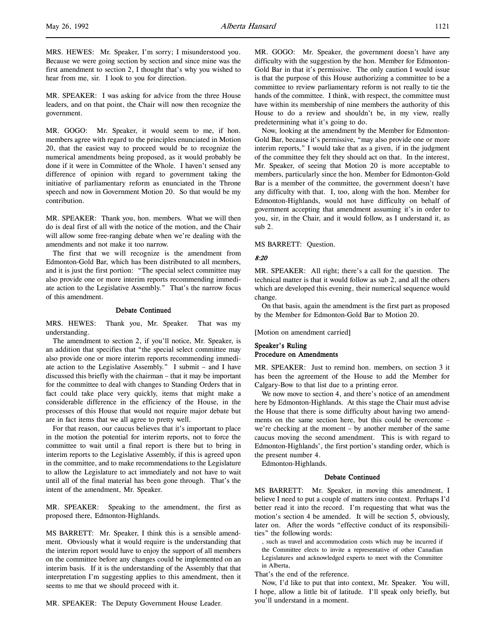MRS. HEWES: Mr. Speaker, I'm sorry; I misunderstood you. Because we were going section by section and since mine was the first amendment to section 2, I thought that's why you wished to hear from me, sir. I look to you for direction.

MR. SPEAKER: I was asking for advice from the three House leaders, and on that point, the Chair will now then recognize the government.

MR. GOGO: Mr. Speaker, it would seem to me, if hon. members agree with regard to the principles enunciated in Motion 20, that the easiest way to proceed would be to recognize the numerical amendments being proposed, as it would probably be done if it were in Committee of the Whole. I haven't sensed any difference of opinion with regard to government taking the initiative of parliamentary reform as enunciated in the Throne speech and now in Government Motion 20. So that would be my contribution.

MR. SPEAKER: Thank you, hon. members. What we will then do is deal first of all with the notice of the motion, and the Chair will allow some free-ranging debate when we're dealing with the amendments and not make it too narrow.

The first that we will recognize is the amendment from Edmonton-Gold Bar, which has been distributed to all members, and it is just the first portion: "The special select committee may also provide one or more interim reports recommending immediate action to the Legislative Assembly." That's the narrow focus of this amendment.

### Debate Continued

MRS. HEWES: Thank you, Mr. Speaker. That was my understanding.

The amendment to section 2, if you'll notice, Mr. Speaker, is an addition that specifies that "the special select committee may also provide one or more interim reports recommending immediate action to the Legislative Assembly." I submit – and I have discussed this briefly with the chairman – that it may be important for the committee to deal with changes to Standing Orders that in fact could take place very quickly, items that might make a considerable difference in the efficiency of the House, in the processes of this House that would not require major debate but are in fact items that we all agree to pretty well.

For that reason, our caucus believes that it's important to place in the motion the potential for interim reports, not to force the committee to wait until a final report is there but to bring in interim reports to the Legislative Assembly, if this is agreed upon in the committee, and to make recommendations to the Legislature to allow the Legislature to act immediately and not have to wait until all of the final material has been gone through. That's the intent of the amendment, Mr. Speaker.

MR. SPEAKER: Speaking to the amendment, the first as proposed there, Edmonton-Highlands.

MS BARRETT: Mr. Speaker, I think this is a sensible amendment. Obviously what it would require is the understanding that the interim report would have to enjoy the support of all members on the committee before any changes could be implemented on an interim basis. If it is the understanding of the Assembly that that interpretation I'm suggesting applies to this amendment, then it seems to me that we should proceed with it.

MR. SPEAKER: The Deputy Government House Leader.

committee to review parliamentary reform is not really to tie the hands of the committee. I think, with respect, the committee must have within its membership of nine members the authority of this House to do a review and shouldn't be, in my view, really predetermining what it's going to do.

Now, looking at the amendment by the Member for Edmonton-Gold Bar, because it's permissive, "may also provide one or more interim reports," I would take that as a given, if in the judgment of the committee they felt they should act on that. In the interest, Mr. Speaker, of seeing that Motion 20 is more acceptable to members, particularly since the hon. Member for Edmonton-Gold Bar is a member of the committee, the government doesn't have any difficulty with that. I, too, along with the hon. Member for Edmonton-Highlands, would not have difficulty on behalf of government accepting that amendment assuming it's in order to you, sir, in the Chair, and it would follow, as I understand it, as sub 2.

MS BARRETT: Question.

### 8:20

MR. SPEAKER: All right; there's a call for the question. The technical matter is that it would follow as sub 2, and all the others which are developed this evening, their numerical sequence would change.

On that basis, again the amendment is the first part as proposed by the Member for Edmonton-Gold Bar to Motion 20.

[Motion on amendment carried]

## Speaker's Ruling Procedure on Amendments

MR. SPEAKER: Just to remind hon. members, on section 3 it has been the agreement of the House to add the Member for Calgary-Bow to that list due to a printing error.

We now move to section 4, and there's notice of an amendment here by Edmonton-Highlands. At this stage the Chair must advise the House that there is some difficulty about having two amendments on the same section here, but this could be overcome – we're checking at the moment – by another member of the same caucus moving the second amendment. This is with regard to Edmonton-Highlands', the first portion's standing order, which is the present number 4.

Edmonton-Highlands.

## Debate Continued

MS BARRETT: Mr. Speaker, in moving this amendment, I believe I need to put a couple of matters into context. Perhaps I'd better read it into the record. I'm requesting that what was the motion's section 4 be amended. It will be section 5, obviously, later on. After the words "effective conduct of its responsibilities" the following words:

, such as travel and accommodation costs which may be incurred if the Committee elects to invite a representative of other Canadian Legislatures and acknowledged experts to meet with the Committee in Alberta,

That's the end of the reference.

Now, I'd like to put that into context, Mr. Speaker. You will, I hope, allow a little bit of latitude. I'll speak only briefly, but you'll understand in a moment.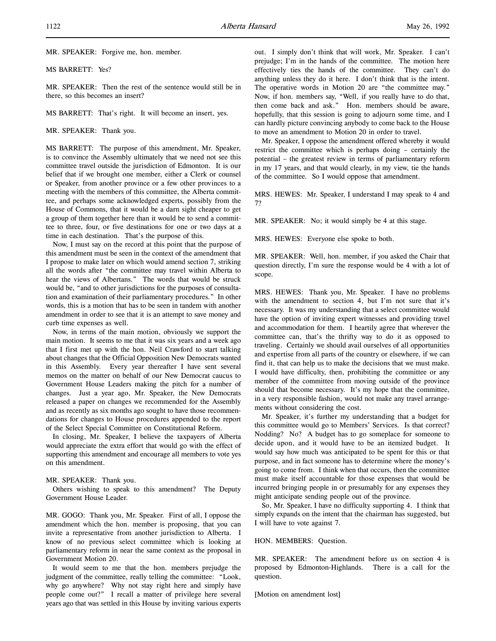MR. SPEAKER: Forgive me, hon. member.

MS BARRETT: Yes?

MR. SPEAKER: Then the rest of the sentence would still be in there, so this becomes an insert?

MS BARRETT: That's right. It will become an insert, yes.

MR. SPEAKER: Thank you.

MS BARRETT: The purpose of this amendment, Mr. Speaker, is to convince the Assembly ultimately that we need not see this committee travel outside the jurisdiction of Edmonton. It is our belief that if we brought one member, either a Clerk or counsel or Speaker, from another province or a few other provinces to a meeting with the members of this committee, the Alberta committee, and perhaps some acknowledged experts, possibly from the House of Commons, that it would be a darn sight cheaper to get a group of them together here than it would be to send a committee to three, four, or five destinations for one or two days at a time in each destination. That's the purpose of this.

Now, I must say on the record at this point that the purpose of this amendment must be seen in the context of the amendment that I propose to make later on which would amend section 7, striking all the words after "the committee may travel within Alberta to hear the views of Albertans." The words that would be struck would be, "and to other jurisdictions for the purposes of consultation and examination of their parliamentary procedures." In other words, this is a motion that has to be seen in tandem with another amendment in order to see that it is an attempt to save money and curb time expenses as well.

Now, in terms of the main motion, obviously we support the main motion. It seems to me that it was six years and a week ago that I first met up with the hon. Neil Crawford to start talking about changes that the Official Opposition New Democrats wanted in this Assembly. Every year thereafter I have sent several memos on the matter on behalf of our New Democrat caucus to Government House Leaders making the pitch for a number of changes. Just a year ago, Mr. Speaker, the New Democrats released a paper on changes we recommended for the Assembly and as recently as six months ago sought to have those recommendations for changes to House procedures appended to the report of the Select Special Committee on Constitutional Reform.

In closing, Mr. Speaker, I believe the taxpayers of Alberta would appreciate the extra effort that would go with the effect of supporting this amendment and encourage all members to vote yes on this amendment.

#### MR. SPEAKER: Thank you.

Others wishing to speak to this amendment? The Deputy Government House Leader.

MR. GOGO: Thank you, Mr. Speaker. First of all, I oppose the amendment which the hon. member is proposing, that you can invite a representative from another jurisdiction to Alberta. I know of no previous select committee which is looking at parliamentary reform in near the same context as the proposal in Government Motion 20.

It would seem to me that the hon. members prejudge the judgment of the committee, really telling the committee: "Look, why go anywhere? Why not stay right here and simply have people come out?" I recall a matter of privilege here several years ago that was settled in this House by inviting various experts

out. I simply don't think that will work, Mr. Speaker. I can't prejudge; I'm in the hands of the committee. The motion here effectively ties the hands of the committee. They can't do anything unless they do it here. I don't think that is the intent. The operative words in Motion 20 are "the committee may." Now, if hon. members say, "Well, if you really have to do that, then come back and ask." Hon. members should be aware, hopefully, that this session is going to adjourn some time, and I can hardly picture convincing anybody to come back to the House to move an amendment to Motion 20 in order to travel.

Mr. Speaker, I oppose the amendment offered whereby it would restrict the committee which is perhaps doing – certainly the potential – the greatest review in terms of parliamentary reform in my 17 years, and that would clearly, in my view, tie the hands of the committee. So I would oppose that amendment.

MRS. HEWES: Mr. Speaker, I understand I may speak to 4 and 7?

MR. SPEAKER: No; it would simply be 4 at this stage.

MRS. HEWES: Everyone else spoke to both.

MR. SPEAKER: Well, hon. member, if you asked the Chair that question directly, I'm sure the response would be 4 with a lot of scope.

MRS. HEWES: Thank you, Mr. Speaker. I have no problems with the amendment to section 4, but I'm not sure that it's necessary. It was my understanding that a select committee would have the option of inviting expert witnesses and providing travel and accommodation for them. I heartily agree that wherever the committee can, that's the thrifty way to do it as opposed to traveling. Certainly we should avail ourselves of all opportunities and expertise from all parts of the country or elsewhere, if we can find it, that can help us to make the decisions that we must make. I would have difficulty, then, prohibiting the committee or any member of the committee from moving outside of the province should that become necessary. It's my hope that the committee, in a very responsible fashion, would not make any travel arrangements without considering the cost.

Mr. Speaker, it's further my understanding that a budget for this committee would go to Members' Services. Is that correct? Nodding? No? A budget has to go someplace for someone to decide upon, and it would have to be an itemized budget. It would say how much was anticipated to be spent for this or that purpose, and in fact someone has to determine where the money's going to come from. I think when that occurs, then the committee must make itself accountable for those expenses that would be incurred bringing people in or presumably for any expenses they might anticipate sending people out of the province.

So, Mr. Speaker, I have no difficulty supporting 4. I think that simply expands on the intent that the chairman has suggested, but I will have to vote against 7.

HON. MEMBERS: Question.

MR. SPEAKER: The amendment before us on section 4 is proposed by Edmonton-Highlands. There is a call for the question.

[Motion on amendment lost]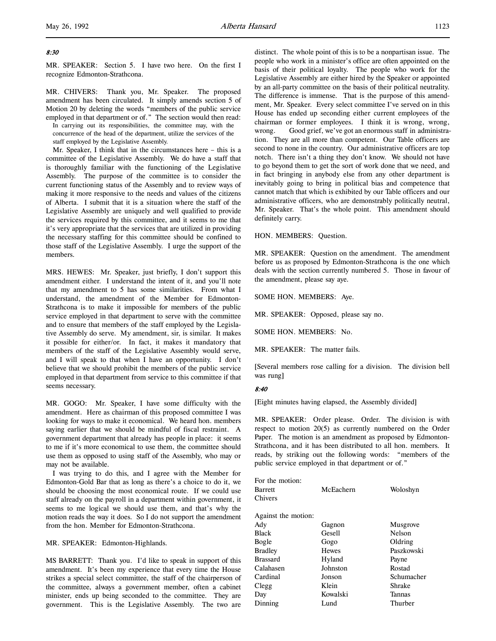## 8:30

l,

MR. SPEAKER: Section 5. I have two here. On the first I recognize Edmonton-Strathcona.

MR. CHIVERS: Thank you, Mr. Speaker. The proposed amendment has been circulated. It simply amends section 5 of Motion 20 by deleting the words "members of the public service employed in that department or of." The section would then read:

In carrying out its responsibilities, the committee may, with the concurrence of the head of the department, utilize the services of the staff employed by the Legislative Assembly.

Mr. Speaker, I think that in the circumstances here – this is a committee of the Legislative Assembly. We do have a staff that is thoroughly familiar with the functioning of the Legislative Assembly. The purpose of the committee is to consider the current functioning status of the Assembly and to review ways of making it more responsive to the needs and values of the citizens of Alberta. I submit that it is a situation where the staff of the Legislative Assembly are uniquely and well qualified to provide the services required by this committee, and it seems to me that it's very appropriate that the services that are utilized in providing the necessary staffing for this committee should be confined to those staff of the Legislative Assembly. I urge the support of the members.

MRS. HEWES: Mr. Speaker, just briefly, I don't support this amendment either. I understand the intent of it, and you'll note that my amendment to 5 has some similarities. From what I understand, the amendment of the Member for Edmonton-Strathcona is to make it impossible for members of the public service employed in that department to serve with the committee and to ensure that members of the staff employed by the Legislative Assembly do serve. My amendment, sir, is similar. It makes it possible for either/or. In fact, it makes it mandatory that members of the staff of the Legislative Assembly would serve, and I will speak to that when I have an opportunity. I don't believe that we should prohibit the members of the public service employed in that department from service to this committee if that seems necessary.

MR. GOGO: Mr. Speaker, I have some difficulty with the amendment. Here as chairman of this proposed committee I was looking for ways to make it economical. We heard hon. members saying earlier that we should be mindful of fiscal restraint. A government department that already has people in place: it seems to me if it's more economical to use them, the committee should use them as opposed to using staff of the Assembly, who may or may not be available.

I was trying to do this, and I agree with the Member for Edmonton-Gold Bar that as long as there's a choice to do it, we should be choosing the most economical route. If we could use staff already on the payroll in a department within government, it seems to me logical we should use them, and that's why the motion reads the way it does. So I do not support the amendment from the hon. Member for Edmonton-Strathcona.

MR. SPEAKER: Edmonton-Highlands.

MS BARRETT: Thank you. I'd like to speak in support of this amendment. It's been my experience that every time the House strikes a special select committee, the staff of the chairperson of the committee, always a government member, often a cabinet minister, ends up being seconded to the committee. They are government. This is the Legislative Assembly. The two are

distinct. The whole point of this is to be a nonpartisan issue. The people who work in a minister's office are often appointed on the basis of their political loyalty. The people who work for the Legislative Assembly are either hired by the Speaker or appointed by an all-party committee on the basis of their political neutrality. The difference is immense. That is the purpose of this amendment, Mr. Speaker. Every select committee I've served on in this House has ended up seconding either current employees of the chairman or former employees. I think it is wrong, wrong, wrong. Good grief, we've got an enormous staff in administration. They are all more than competent. Our Table officers are second to none in the country. Our administrative officers are top notch. There isn't a thing they don't know. We should not have to go beyond them to get the sort of work done that we need, and in fact bringing in anybody else from any other department is inevitably going to bring in political bias and competence that cannot match that which is exhibited by our Table officers and our administrative officers, who are demonstrably politically neutral, Mr. Speaker. That's the whole point. This amendment should definitely carry.

HON. MEMBERS: Question.

MR. SPEAKER: Question on the amendment. The amendment before us as proposed by Edmonton-Strathcona is the one which deals with the section currently numbered 5. Those in favour of the amendment, please say aye.

SOME HON. MEMBERS: Aye.

MR. SPEAKER: Opposed, please say no.

SOME HON. MEMBERS: No.

MR. SPEAKER: The matter fails.

[Several members rose calling for a division. The division bell was rung]

### 8:40

[Eight minutes having elapsed, the Assembly divided]

MR. SPEAKER: Order please. Order. The division is with respect to motion 20(5) as currently numbered on the Order Paper. The motion is an amendment as proposed by Edmonton-Strathcona, and it has been distributed to all hon. members. It reads, by striking out the following words: "members of the public service employed in that department or of."

| For the motion:     |              |               |
|---------------------|--------------|---------------|
| Barrett             | McEachern    | Woloshyn      |
| Chivers             |              |               |
| Against the motion: |              |               |
| Ady                 | Gagnon       | Musgrove      |
| Black               | Gesell       | <b>Nelson</b> |
| Bogle               | Gogo         | Oldring       |
| Bradley             | <b>Hewes</b> | Paszkowski    |
| <b>Brassard</b>     | Hyland       | Payne         |
| Calahasen           | Johnston     | Rostad        |
| Cardinal            | Jonson       | Schumacher    |
| Clegg               | Klein        | Shrake        |
| Day                 | Kowalski     | Tannas        |
| Dinning             | Lund         | Thurber       |
|                     |              |               |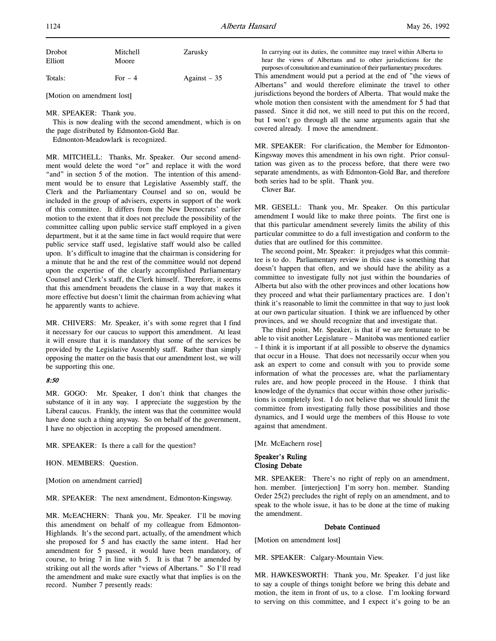|  |  | May 26, 1992 |
|--|--|--------------|
|--|--|--------------|

| Drobot<br>Elliott | Mitchell<br>Moore | Zarusky       |
|-------------------|-------------------|---------------|
| Totals:           | For $-4$          | Against $-35$ |

[Motion on amendment lost]

MR. SPEAKER: Thank you.

This is now dealing with the second amendment, which is on the page distributed by Edmonton-Gold Bar.

Edmonton-Meadowlark is recognized.

MR. MITCHELL: Thanks, Mr. Speaker. Our second amendment would delete the word "or" and replace it with the word "and" in section 5 of the motion. The intention of this amendment would be to ensure that Legislative Assembly staff, the Clerk and the Parliamentary Counsel and so on, would be included in the group of advisers, experts in support of the work of this committee. It differs from the New Democrats' earlier motion to the extent that it does not preclude the possibility of the committee calling upon public service staff employed in a given department, but it at the same time in fact would require that were public service staff used, legislative staff would also be called upon. It's difficult to imagine that the chairman is considering for a minute that he and the rest of the committee would not depend upon the expertise of the clearly accomplished Parliamentary Counsel and Clerk's staff, the Clerk himself. Therefore, it seems that this amendment broadens the clause in a way that makes it more effective but doesn't limit the chairman from achieving what he apparently wants to achieve.

MR. CHIVERS: Mr. Speaker, it's with some regret that I find it necessary for our caucus to support this amendment. At least it will ensure that it is mandatory that some of the services be provided by the Legislative Assembly staff. Rather than simply opposing the matter on the basis that our amendment lost, we will be supporting this one.

### 8:50

MR. GOGO: Mr. Speaker, I don't think that changes the substance of it in any way. I appreciate the suggestion by the Liberal caucus. Frankly, the intent was that the committee would have done such a thing anyway. So on behalf of the government, I have no objection in accepting the proposed amendment.

MR. SPEAKER: Is there a call for the question?

HON. MEMBERS: Question.

[Motion on amendment carried]

MR. SPEAKER: The next amendment, Edmonton-Kingsway.

MR. McEACHERN: Thank you, Mr. Speaker. I'll be moving this amendment on behalf of my colleague from Edmonton-Highlands. It's the second part, actually, of the amendment which she proposed for 5 and has exactly the same intent. Had her amendment for 5 passed, it would have been mandatory, of course, to bring 7 in line with 5. It is that 7 be amended by striking out all the words after "views of Albertans." So I'll read the amendment and make sure exactly what that implies is on the record. Number 7 presently reads:

In carrying out its duties, the committee may travel within Alberta to hear the views of Albertans and to other jurisdictions for the purposes of consultation and examination of their parliamentary procedures.

This amendment would put a period at the end of "the views of Albertans" and would therefore eliminate the travel to other jurisdictions beyond the borders of Alberta. That would make the whole motion then consistent with the amendment for 5 had that passed. Since it did not, we still need to put this on the record, but I won't go through all the same arguments again that she covered already. I move the amendment.

MR. SPEAKER: For clarification, the Member for Edmonton-Kingsway moves this amendment in his own right. Prior consultation was given as to the process before, that there were two separate amendments, as with Edmonton-Gold Bar, and therefore both series had to be split. Thank you.

Clover Bar.

MR. GESELL: Thank you, Mr. Speaker. On this particular amendment I would like to make three points. The first one is that this particular amendment severely limits the ability of this particular committee to do a full investigation and conform to the duties that are outlined for this committee.

The second point, Mr. Speaker: it prejudges what this committee is to do. Parliamentary review in this case is something that doesn't happen that often, and we should have the ability as a committee to investigate fully not just within the boundaries of Alberta but also with the other provinces and other locations how they proceed and what their parliamentary practices are. I don't think it's reasonable to limit the committee in that way to just look at our own particular situation. I think we are influenced by other provinces, and we should recognize that and investigate that.

The third point, Mr. Speaker, is that if we are fortunate to be able to visit another Legislature – Manitoba was mentioned earlier – I think it is important if at all possible to observe the dynamics that occur in a House. That does not necessarily occur when you ask an expert to come and consult with you to provide some information of what the processes are, what the parliamentary rules are, and how people proceed in the House. I think that knowledge of the dynamics that occur within those other jurisdictions is completely lost. I do not believe that we should limit the committee from investigating fully those possibilities and those dynamics, and I would urge the members of this House to vote against that amendment.

[Mr. McEachern rose]

## Speaker's Ruling Closing Debate

MR. SPEAKER: There's no right of reply on an amendment, hon. member. [interjection] I'm sorry hon. member. Standing Order 25(2) precludes the right of reply on an amendment, and to speak to the whole issue, it has to be done at the time of making the amendment.

### Debate Continued

[Motion on amendment lost]

MR. SPEAKER: Calgary-Mountain View.

MR. HAWKESWORTH: Thank you, Mr. Speaker. I'd just like to say a couple of things tonight before we bring this debate and motion, the item in front of us, to a close. I'm looking forward to serving on this committee, and I expect it's going to be an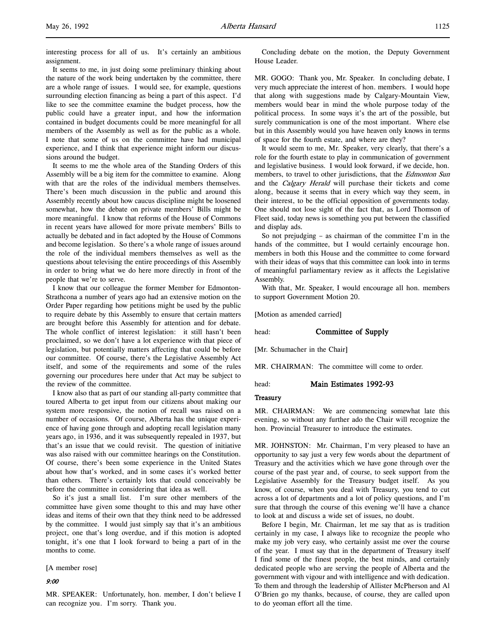interesting process for all of us. It's certainly an ambitious assignment.

It seems to me, in just doing some preliminary thinking about the nature of the work being undertaken by the committee, there are a whole range of issues. I would see, for example, questions surrounding election financing as being a part of this aspect. I'd like to see the committee examine the budget process, how the public could have a greater input, and how the information contained in budget documents could be more meaningful for all members of the Assembly as well as for the public as a whole. I note that some of us on the committee have had municipal experience, and I think that experience might inform our discussions around the budget.

It seems to me the whole area of the Standing Orders of this Assembly will be a big item for the committee to examine. Along with that are the roles of the individual members themselves. There's been much discussion in the public and around this Assembly recently about how caucus discipline might be loosened somewhat, how the debate on private members' Bills might be more meaningful. I know that reforms of the House of Commons in recent years have allowed for more private members' Bills to actually be debated and in fact adopted by the House of Commons and become legislation. So there's a whole range of issues around the role of the individual members themselves as well as the questions about televising the entire proceedings of this Assembly in order to bring what we do here more directly in front of the people that we're to serve.

I know that our colleague the former Member for Edmonton-Strathcona a number of years ago had an extensive motion on the Order Paper regarding how petitions might be used by the public to require debate by this Assembly to ensure that certain matters are brought before this Assembly for attention and for debate. The whole conflict of interest legislation: it still hasn't been proclaimed, so we don't have a lot experience with that piece of legislation, but potentially matters affecting that could be before our committee. Of course, there's the Legislative Assembly Act itself, and some of the requirements and some of the rules governing our procedures here under that Act may be subject to the review of the committee.

I know also that as part of our standing all-party committee that toured Alberta to get input from our citizens about making our system more responsive, the notion of recall was raised on a number of occasions. Of course, Alberta has the unique experience of having gone through and adopting recall legislation many years ago, in 1936, and it was subsequently repealed in 1937, but that's an issue that we could revisit. The question of initiative was also raised with our committee hearings on the Constitution. Of course, there's been some experience in the United States about how that's worked, and in some cases it's worked better than others. There's certainly lots that could conceivably be before the committee in considering that idea as well.

So it's just a small list. I'm sure other members of the committee have given some thought to this and may have other ideas and items of their own that they think need to be addressed by the committee. I would just simply say that it's an ambitious project, one that's long overdue, and if this motion is adopted tonight, it's one that I look forward to being a part of in the months to come.

[A member rose]

### 9:00

MR. SPEAKER: Unfortunately, hon. member, I don't believe I can recognize you. I'm sorry. Thank you.

Concluding debate on the motion, the Deputy Government House Leader.

MR. GOGO: Thank you, Mr. Speaker. In concluding debate, I very much appreciate the interest of hon. members. I would hope that along with suggestions made by Calgary-Mountain View, members would bear in mind the whole purpose today of the political process. In some ways it's the art of the possible, but surely communication is one of the most important. Where else but in this Assembly would you have heaven only knows in terms of space for the fourth estate, and where are they?

It would seem to me, Mr. Speaker, very clearly, that there's a role for the fourth estate to play in communication of government and legislative business. I would look forward, if we decide, hon. members, to travel to other jurisdictions, that the Edmonton Sun and the Calgary Herald will purchase their tickets and come along, because it seems that in every which way they seem, in their interest, to be the official opposition of governments today. One should not lose sight of the fact that, as Lord Thomson of Fleet said, today news is something you put between the classified and display ads.

So not prejudging – as chairman of the committee I'm in the hands of the committee, but I would certainly encourage hon. members in both this House and the committee to come forward with their ideas of ways that this committee can look into in terms of meaningful parliamentary review as it affects the Legislative Assembly.

With that, Mr. Speaker, I would encourage all hon. members to support Government Motion 20.

[Motion as amended carried]

head: **Committee of Supply** 

[Mr. Schumacher in the Chair]

MR. CHAIRMAN: The committee will come to order.

head: Main Estimates 1992-93

### **Treasury**

MR. CHAIRMAN: We are commencing somewhat late this evening, so without any further ado the Chair will recognize the hon. Provincial Treasurer to introduce the estimates.

MR. JOHNSTON: Mr. Chairman, I'm very pleased to have an opportunity to say just a very few words about the department of Treasury and the activities which we have gone through over the course of the past year and, of course, to seek support from the Legislative Assembly for the Treasury budget itself. As you know, of course, when you deal with Treasury, you tend to cut across a lot of departments and a lot of policy questions, and I'm sure that through the course of this evening we'll have a chance to look at and discuss a wide set of issues, no doubt.

Before I begin, Mr. Chairman, let me say that as is tradition certainly in my case, I always like to recognize the people who make my job very easy, who certainly assist me over the course of the year. I must say that in the department of Treasury itself I find some of the finest people, the best minds, and certainly dedicated people who are serving the people of Alberta and the government with vigour and with intelligence and with dedication. To them and through the leadership of Allister McPherson and Al O'Brien go my thanks, because, of course, they are called upon to do yeoman effort all the time.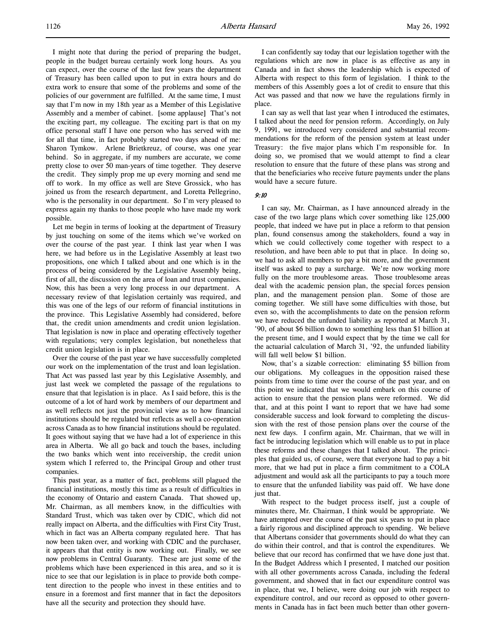I might note that during the period of preparing the budget, people in the budget bureau certainly work long hours. As you can expect, over the course of the last few years the department of Treasury has been called upon to put in extra hours and do extra work to ensure that some of the problems and some of the policies of our government are fulfilled. At the same time, I must say that I'm now in my 18th year as a Member of this Legislative Assembly and a member of cabinet. [some applause] That's not the exciting part, my colleague. The exciting part is that on my office personal staff I have one person who has served with me for all that time, in fact probably started two days ahead of me: Sharon Tymkow. Arlene Brietkreuz, of course, was one year behind. So in aggregate, if my numbers are accurate, we come pretty close to over 50 man-years of time together. They deserve the credit. They simply prop me up every morning and send me off to work. In my office as well are Steve Grossick, who has joined us from the research department, and Loretta Pellegrino, who is the personality in our department. So I'm very pleased to express again my thanks to those people who have made my work possible.

Let me begin in terms of looking at the department of Treasury by just touching on some of the items which we've worked on over the course of the past year. I think last year when I was here, we had before us in the Legislative Assembly at least two propositions, one which I talked about and one which is in the process of being considered by the Legislative Assembly being, first of all, the discussion on the area of loan and trust companies. Now, this has been a very long process in our department. A necessary review of that legislation certainly was required, and this was one of the legs of our reform of financial institutions in the province. This Legislative Assembly had considered, before that, the credit union amendments and credit union legislation. That legislation is now in place and operating effectively together with regulations; very complex legislation, but nonetheless that credit union legislation is in place.

Over the course of the past year we have successfully completed our work on the implementation of the trust and loan legislation. That Act was passed last year by this Legislative Assembly, and just last week we completed the passage of the regulations to ensure that that legislation is in place. As I said before, this is the outcome of a lot of hard work by members of our department and as well reflects not just the provincial view as to how financial institutions should be regulated but reflects as well a co-operation across Canada as to how financial institutions should be regulated. It goes without saying that we have had a lot of experience in this area in Alberta. We all go back and touch the bases, including the two banks which went into receivership, the credit union system which I referred to, the Principal Group and other trust companies.

This past year, as a matter of fact, problems still plagued the financial institutions, mostly this time as a result of difficulties in the economy of Ontario and eastern Canada. That showed up, Mr. Chairman, as all members know, in the difficulties with Standard Trust, which was taken over by CDIC, which did not really impact on Alberta, and the difficulties with First City Trust, which in fact was an Alberta company regulated here. That has now been taken over, and working with CDIC and the purchaser, it appears that that entity is now working out. Finally, we see now problems in Central Guaranty. These are just some of the problems which have been experienced in this area, and so it is nice to see that our legislation is in place to provide both competent direction to the people who invest in these entities and to ensure in a foremost and first manner that in fact the depositors have all the security and protection they should have.

I can confidently say today that our legislation together with the regulations which are now in place is as effective as any in Canada and in fact shows the leadership which is expected of Alberta with respect to this form of legislation. I think to the members of this Assembly goes a lot of credit to ensure that this Act was passed and that now we have the regulations firmly in place.

I can say as well that last year when I introduced the estimates, I talked about the need for pension reform. Accordingly, on July 9, 1991, we introduced very considered and substantial recommendations for the reform of the pension system at least under Treasury: the five major plans which I'm responsible for. In doing so, we promised that we would attempt to find a clear resolution to ensure that the future of these plans was strong and that the beneficiaries who receive future payments under the plans would have a secure future.

## 9:10

I can say, Mr. Chairman, as I have announced already in the case of the two large plans which cover something like 125,000 people, that indeed we have put in place a reform to that pension plan, found consensus among the stakeholders, found a way in which we could collectively come together with respect to a resolution, and have been able to put that in place. In doing so, we had to ask all members to pay a bit more, and the government itself was asked to pay a surcharge. We're now working more fully on the more troublesome areas. Those troublesome areas deal with the academic pension plan, the special forces pension plan, and the management pension plan. Some of those are coming together. We still have some difficulties with those, but even so, with the accomplishments to date on the pension reform we have reduced the unfunded liability as reported at March 31, '90, of about \$6 billion down to something less than \$1 billion at the present time, and I would expect that by the time we call for the actuarial calculation of March 31, '92, the unfunded liability will fall well below \$1 billion.

Now, that's a sizable correction: eliminating \$5 billion from our obligations. My colleagues in the opposition raised these points from time to time over the course of the past year, and on this point we indicated that we would embark on this course of action to ensure that the pension plans were reformed. We did that, and at this point I want to report that we have had some considerable success and look forward to completing the discussion with the rest of those pension plans over the course of the next few days. I confirm again, Mr. Chairman, that we will in fact be introducing legislation which will enable us to put in place these reforms and these changes that I talked about. The principles that guided us, of course, were that everyone had to pay a bit more, that we had put in place a firm commitment to a COLA adjustment and would ask all the participants to pay a touch more to ensure that the unfunded liability was paid off. We have done just that.

With respect to the budget process itself, just a couple of minutes there, Mr. Chairman, I think would be appropriate. We have attempted over the course of the past six years to put in place a fairly rigorous and disciplined approach to spending. We believe that Albertans consider that governments should do what they can do within their control, and that is control the expenditures. We believe that our record has confirmed that we have done just that. In the Budget Address which I presented, I matched our position with all other governments across Canada, including the federal government, and showed that in fact our expenditure control was in place, that we, I believe, were doing our job with respect to expenditure control, and our record as opposed to other governments in Canada has in fact been much better than other govern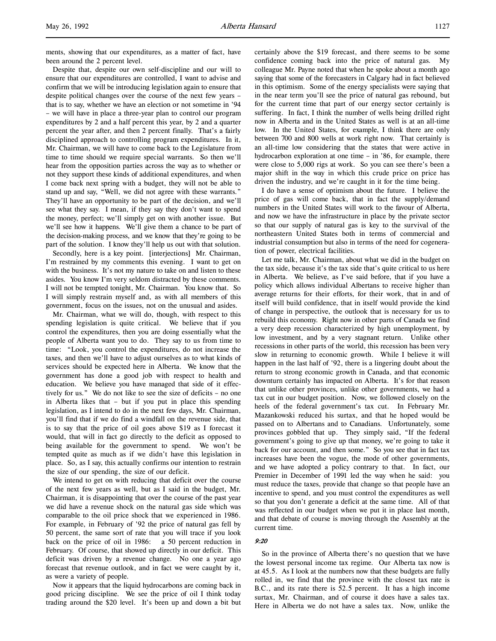ments, showing that our expenditures, as a matter of fact, have been around the 2 percent level.

Despite that, despite our own self-discipline and our will to ensure that our expenditures are controlled, I want to advise and confirm that we will be introducing legislation again to ensure that despite political changes over the course of the next few years – that is to say, whether we have an election or not sometime in '94 – we will have in place a three-year plan to control our program expenditures by 2 and a half percent this year, by 2 and a quarter percent the year after, and then 2 percent finally. That's a fairly disciplined approach to controlling program expenditures. In it, Mr. Chairman, we will have to come back to the Legislature from time to time should we require special warrants. So then we'll hear from the opposition parties across the way as to whether or not they support these kinds of additional expenditures, and when I come back next spring with a budget, they will not be able to stand up and say, "Well, we did not agree with these warrants." They'll have an opportunity to be part of the decision, and we'll see what they say. I mean, if they say they don't want to spend the money, perfect; we'll simply get on with another issue. But we'll see how it happens. We'll give them a chance to be part of the decision-making process, and we know that they're going to be part of the solution. I know they'll help us out with that solution.

Secondly, here is a key point. [interjections] Mr. Chairman, I'm restrained by my comments this evening. I want to get on with the business. It's not my nature to take on and listen to these asides. You know I'm very seldom distracted by these comments. I will not be tempted tonight, Mr. Chairman. You know that. So I will simply restrain myself and, as with all members of this government, focus on the issues, not on the unusual and asides.

Mr. Chairman, what we will do, though, with respect to this spending legislation is quite critical. We believe that if you control the expenditures, then you are doing essentially what the people of Alberta want you to do. They say to us from time to time: "Look, you control the expenditures, do not increase the taxes, and then we'll have to adjust ourselves as to what kinds of services should be expected here in Alberta. We know that the government has done a good job with respect to health and education. We believe you have managed that side of it effectively for us." We do not like to see the size of deficits – no one in Alberta likes that – but if you put in place this spending legislation, as I intend to do in the next few days, Mr. Chairman, you'll find that if we do find a windfall on the revenue side, that is to say that the price of oil goes above \$19 as I forecast it would, that will in fact go directly to the deficit as opposed to being available for the government to spend. We won't be tempted quite as much as if we didn't have this legislation in place. So, as I say, this actually confirms our intention to restrain the size of our spending, the size of our deficit.

We intend to get on with reducing that deficit over the course of the next few years as well, but as I said in the budget, Mr. Chairman, it is disappointing that over the course of the past year we did have a revenue shock on the natural gas side which was comparable to the oil price shock that we experienced in 1986. For example, in February of '92 the price of natural gas fell by 50 percent, the same sort of rate that you will trace if you look back on the price of oil in 1986: a 50 percent reduction in February. Of course, that showed up directly in our deficit. This deficit was driven by a revenue change. No one a year ago forecast that revenue outlook, and in fact we were caught by it, as were a variety of people.

Now it appears that the liquid hydrocarbons are coming back in good pricing discipline. We see the price of oil I think today trading around the \$20 level. It's been up and down a bit but certainly above the \$19 forecast, and there seems to be some confidence coming back into the price of natural gas. My colleague Mr. Payne noted that when he spoke about a month ago saying that some of the forecasters in Calgary had in fact believed in this optimism. Some of the energy specialists were saying that in the near term you'll see the price of natural gas rebound, but for the current time that part of our energy sector certainly is suffering. In fact, I think the number of wells being drilled right now in Alberta and in the United States as well is at an all-time low. In the United States, for example, I think there are only between 700 and 800 wells at work right now. That certainly is an all-time low considering that the states that were active in hydrocarbon exploration at one time – in '86, for example, there were close to 5,000 rigs at work. So you can see there's been a major shift in the way in which this crude price on price has driven the industry, and we're caught in it for the time being.

I do have a sense of optimism about the future. I believe the price of gas will come back, that in fact the supply/demand numbers in the United States will work to the favour of Alberta, and now we have the infrastructure in place by the private sector so that our supply of natural gas is key to the survival of the northeastern United States both in terms of commercial and industrial consumption but also in terms of the need for cogeneration of power, electrical facilities.

Let me talk, Mr. Chairman, about what we did in the budget on the tax side, because it's the tax side that's quite critical to us here in Alberta. We believe, as I've said before, that if you have a policy which allows individual Albertans to receive higher than average returns for their efforts, for their work, that in and of itself will build confidence, that in itself would provide the kind of change in perspective, the outlook that is necessary for us to rebuild this economy. Right now in other parts of Canada we find a very deep recession characterized by high unemployment, by low investment, and by a very stagnant return. Unlike other recessions in other parts of the world, this recession has been very slow in returning to economic growth. While I believe it will happen in the last half of '92, there is a lingering doubt about the return to strong economic growth in Canada, and that economic downturn certainly has impacted on Alberta. It's for that reason that unlike other provinces, unlike other governments, we had a tax cut in our budget position. Now, we followed closely on the heels of the federal government's tax cut. In February Mr. Mazankowski reduced his surtax, and that he hoped would be passed on to Albertans and to Canadians. Unfortunately, some provinces gobbled that up. They simply said, "If the federal government's going to give up that money, we're going to take it back for our account, and then some." So you see that in fact tax increases have been the vogue, the mode of other governments, and we have adopted a policy contrary to that. In fact, our Premier in December of 1991 led the way when he said: you must reduce the taxes, provide that change so that people have an incentive to spend, and you must control the expenditures as well so that you don't generate a deficit at the same time. All of that was reflected in our budget when we put it in place last month, and that debate of course is moving through the Assembly at the current time.

### 9:20

So in the province of Alberta there's no question that we have the lowest personal income tax regime. Our Alberta tax now is at 45.5. As I look at the numbers now that these budgets are fully rolled in, we find that the province with the closest tax rate is B.C., and its rate there is 52.5 percent. It has a high income surtax, Mr. Chairman, and of course it does have a sales tax. Here in Alberta we do not have a sales tax. Now, unlike the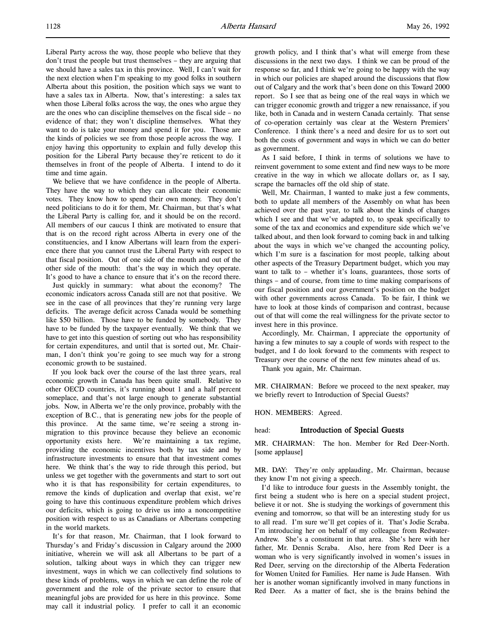Liberal Party across the way, those people who believe that they don't trust the people but trust themselves – they are arguing that we should have a sales tax in this province. Well, I can't wait for the next election when I'm speaking to my good folks in southern Alberta about this position, the position which says we want to have a sales tax in Alberta. Now, that's interesting: a sales tax when those Liberal folks across the way, the ones who argue they are the ones who can discipline themselves on the fiscal side – no evidence of that; they won't discipline themselves. What they want to do is take your money and spend it for you. Those are the kinds of policies we see from those people across the way. I enjoy having this opportunity to explain and fully develop this position for the Liberal Party because they're reticent to do it themselves in front of the people of Alberta. I intend to do it time and time again.

We believe that we have confidence in the people of Alberta. They have the way to which they can allocate their economic votes. They know how to spend their own money. They don't need politicians to do it for them, Mr. Chairman, but that's what the Liberal Party is calling for, and it should be on the record. All members of our caucus I think are motivated to ensure that that is on the record right across Alberta in every one of the constituencies, and I know Albertans will learn from the experience there that you cannot trust the Liberal Party with respect to that fiscal position. Out of one side of the mouth and out of the other side of the mouth: that's the way in which they operate. It's good to have a chance to ensure that it's on the record there.

Just quickly in summary: what about the economy? The economic indicators across Canada still are not that positive. We see in the case of all provinces that they're running very large deficits. The average deficit across Canada would be something like \$50 billion. Those have to be funded by somebody. They have to be funded by the taxpayer eventually. We think that we have to get into this question of sorting out who has responsibility for certain expenditures, and until that is sorted out, Mr. Chairman, I don't think you're going to see much way for a strong economic growth to be sustained.

If you look back over the course of the last three years, real economic growth in Canada has been quite small. Relative to other OECD countries, it's running about 1 and a half percent someplace, and that's not large enough to generate substantial jobs. Now, in Alberta we're the only province, probably with the exception of B.C., that is generating new jobs for the people of this province. At the same time, we're seeing a strong inmigration to this province because they believe an economic opportunity exists here. We're maintaining a tax regime, providing the economic incentives both by tax side and by infrastructure investments to ensure that that investment comes here. We think that's the way to ride through this period, but unless we get together with the governments and start to sort out who it is that has responsibility for certain expenditures, to remove the kinds of duplication and overlap that exist, we're going to have this continuous expenditure problem which drives our deficits, which is going to drive us into a noncompetitive position with respect to us as Canadians or Albertans competing in the world markets.

It's for that reason, Mr. Chairman, that I look forward to Thursday's and Friday's discussion in Calgary around the 2000 initiative, wherein we will ask all Albertans to be part of a solution, talking about ways in which they can trigger new investment, ways in which we can collectively find solutions to these kinds of problems, ways in which we can define the role of government and the role of the private sector to ensure that meaningful jobs are provided for us here in this province. Some may call it industrial policy. I prefer to call it an economic

growth policy, and I think that's what will emerge from these discussions in the next two days. I think we can be proud of the response so far, and I think we're going to be happy with the way in which our policies are shaped around the discussions that flow out of Calgary and the work that's been done on this Toward 2000 report. So I see that as being one of the real ways in which we can trigger economic growth and trigger a new renaissance, if you like, both in Canada and in western Canada certainly. That sense of co-operation certainly was clear at the Western Premiers' Conference. I think there's a need and desire for us to sort out both the costs of government and ways in which we can do better as government.

As I said before, I think in terms of solutions we have to reinvent government to some extent and find new ways to be more creative in the way in which we allocate dollars or, as I say, scrape the barnacles off the old ship of state.

Well, Mr. Chairman, I wanted to make just a few comments, both to update all members of the Assembly on what has been achieved over the past year, to talk about the kinds of changes which I see and that we've adapted to, to speak specifically to some of the tax and economics and expenditure side which we've talked about, and then look forward to coming back in and talking about the ways in which we've changed the accounting policy, which I'm sure is a fascination for most people, talking about other aspects of the Treasury Department budget, which you may want to talk to – whether it's loans, guarantees, those sorts of things – and of course, from time to time making comparisons of our fiscal position and our government's position on the budget with other governments across Canada. To be fair, I think we have to look at those kinds of comparison and contrast, because out of that will come the real willingness for the private sector to invest here in this province.

Accordingly, Mr. Chairman, I appreciate the opportunity of having a few minutes to say a couple of words with respect to the budget, and I do look forward to the comments with respect to Treasury over the course of the next few minutes ahead of us.

Thank you again, Mr. Chairman.

MR. CHAIRMAN: Before we proceed to the next speaker, may we briefly revert to Introduction of Special Guests?

HON. MEMBERS: Agreed.

## head: Introduction of Special Guests

MR. CHAIRMAN: The hon. Member for Red Deer-North. [some applause]

MR. DAY: They're only applauding, Mr. Chairman, because they know I'm not giving a speech.

I'd like to introduce four guests in the Assembly tonight, the first being a student who is here on a special student project, believe it or not. She is studying the workings of government this evening and tomorrow, so that will be an interesting study for us to all read. I'm sure we'll get copies of it. That's Jodie Scraba. I'm introducing her on behalf of my colleague from Redwater-Andrew. She's a constituent in that area. She's here with her father, Mr. Dennis Scraba. Also, here from Red Deer is a woman who is very significantly involved in women's issues in Red Deer, serving on the directorship of the Alberta Federation for Women United for Families. Her name is Jude Hansen. With her is another woman significantly involved in many functions in Red Deer. As a matter of fact, she is the brains behind the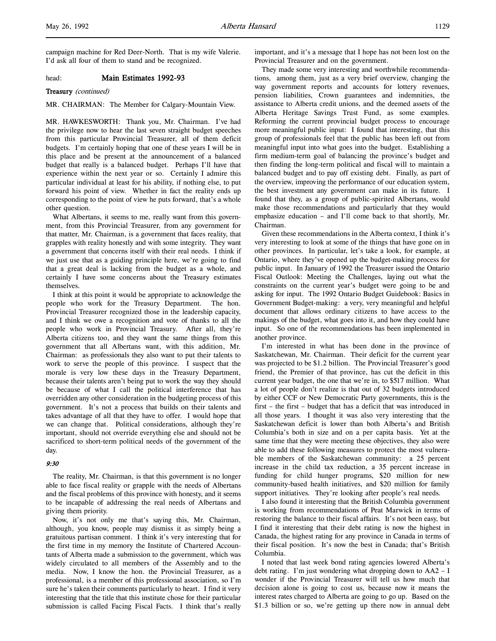## head: Main Estimates 1992-93

### Treasury (continued)

## MR. CHAIRMAN: The Member for Calgary-Mountain View.

MR. HAWKESWORTH: Thank you, Mr. Chairman. I've had the privilege now to hear the last seven straight budget speeches from this particular Provincial Treasurer, all of them deficit budgets. I'm certainly hoping that one of these years I will be in this place and be present at the announcement of a balanced budget that really is a balanced budget. Perhaps I'll have that experience within the next year or so. Certainly I admire this particular individual at least for his ability, if nothing else, to put forward his point of view. Whether in fact the reality ends up corresponding to the point of view he puts forward, that's a whole other question.

What Albertans, it seems to me, really want from this government, from this Provincial Treasurer, from any government for that matter, Mr. Chairman, is a government that faces reality, that grapples with reality honestly and with some integrity. They want a government that concerns itself with their real needs. I think if we just use that as a guiding principle here, we're going to find that a great deal is lacking from the budget as a whole, and certainly I have some concerns about the Treasury estimates themselves.

I think at this point it would be appropriate to acknowledge the people who work for the Treasury Department. The hon. Provincial Treasurer recognized those in the leadership capacity, and I think we owe a recognition and vote of thanks to all the people who work in Provincial Treasury. After all, they're Alberta citizens too, and they want the same things from this government that all Albertans want, with this addition, Mr. Chairman: as professionals they also want to put their talents to work to serve the people of this province. I suspect that the morale is very low these days in the Treasury Department, because their talents aren't being put to work the way they should be because of what I call the political interference that has overridden any other consideration in the budgeting process of this government. It's not a process that builds on their talents and takes advantage of all that they have to offer. I would hope that we can change that. Political considerations, although they're important, should not override everything else and should not be sacrificed to short-term political needs of the government of the day.

### 9:30

The reality, Mr. Chairman, is that this government is no longer able to face fiscal reality or grapple with the needs of Albertans and the fiscal problems of this province with honesty, and it seems to be incapable of addressing the real needs of Albertans and giving them priority.

Now, it's not only me that's saying this, Mr. Chairman, although, you know, people may dismiss it as simply being a gratuitous partisan comment. I think it's very interesting that for the first time in my memory the Institute of Chartered Accountants of Alberta made a submission to the government, which was widely circulated to all members of the Assembly and to the media. Now, I know the hon. the Provincial Treasurer, as a professional, is a member of this professional association, so I'm sure he's taken their comments particularly to heart. I find it very interesting that the title that this institute chose for their particular submission is called Facing Fiscal Facts. I think that's really

important, and it's a message that I hope has not been lost on the Provincial Treasurer and on the government.

They made some very interesting and worthwhile recommendations, among them, just as a very brief overview, changing the way government reports and accounts for lottery revenues, pension liabilities, Crown guarantees and indemnities, the assistance to Alberta credit unions, and the deemed assets of the Alberta Heritage Savings Trust Fund, as some examples. Reforming the current provincial budget process to encourage more meaningful public input: I found that interesting, that this group of professionals feel that the public has been left out from meaningful input into what goes into the budget. Establishing a firm medium-term goal of balancing the province's budget and then finding the long-term political and fiscal will to maintain a balanced budget and to pay off existing debt. Finally, as part of the overview, improving the performance of our education system, the best investment any government can make in its future. I found that they, as a group of public-spirited Albertans, would make those recommendations and particularly that they would emphasize education – and I'll come back to that shortly, Mr. Chairman.

Given these recommendations in the Alberta context, I think it's very interesting to look at some of the things that have gone on in other provinces. In particular, let's take a look, for example, at Ontario, where they've opened up the budget-making process for public input. In January of 1992 the Treasurer issued the Ontario Fiscal Outlook: Meeting the Challenges, laying out what the constraints on the current year's budget were going to be and asking for input. The 1992 Ontario Budget Guidebook: Basics in Government Budget-making: a very, very meaningful and helpful document that allows ordinary citizens to have access to the makings of the budget, what goes into it, and how they could have input. So one of the recommendations has been implemented in another province.

I'm interested in what has been done in the province of Saskatchewan, Mr. Chairman. Their deficit for the current year was projected to be \$1.2 billion. The Provincial Treasurer's good friend, the Premier of that province, has cut the deficit in this current year budget, the one that we're in, to \$517 million. What a lot of people don't realize is that out of 32 budgets introduced by either CCF or New Democratic Party governments, this is the first – the first – budget that has a deficit that was introduced in all those years. I thought it was also very interesting that the Saskatchewan deficit is lower than both Alberta's and British Columbia's both in size and on a per capita basis. Yet at the same time that they were meeting these objectives, they also were able to add these following measures to protect the most vulnerable members of the Saskatchewan community: a 25 percent increase in the child tax reduction, a 35 percent increase in funding for child hunger programs, \$20 million for new community-based health initiatives, and \$20 million for family support initiatives. They're looking after people's real needs.

I also found it interesting that the British Columbia government is working from recommendations of Peat Marwick in terms of restoring the balance to their fiscal affairs. It's not been easy, but I find it interesting that their debt rating is now the highest in Canada, the highest rating for any province in Canada in terms of their fiscal position. It's now the best in Canada; that's British Columbia.

I noted that last week bond rating agencies lowered Alberta's debt rating. I'm just wondering what dropping down to AA2 – I wonder if the Provincial Treasurer will tell us how much that decision alone is going to cost us, because now it means the interest rates charged to Alberta are going to go up. Based on the \$1.3 billion or so, we're getting up there now in annual debt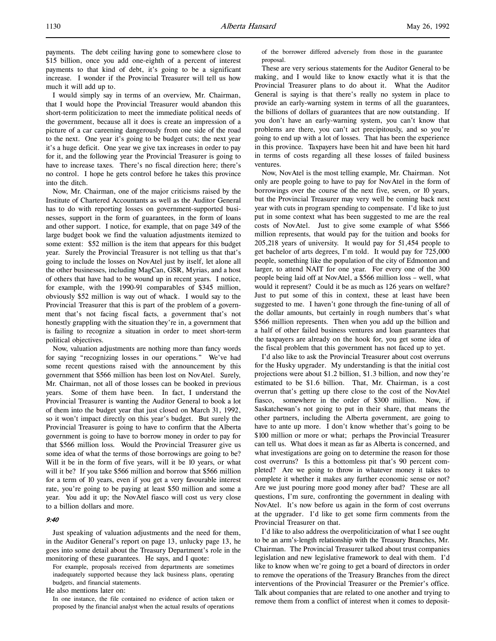payments. The debt ceiling having gone to somewhere close to \$15 billion, once you add one-eighth of a percent of interest payments to that kind of debt, it's going to be a significant increase. I wonder if the Provincial Treasurer will tell us how much it will add up to.

I would simply say in terms of an overview, Mr. Chairman, that I would hope the Provincial Treasurer would abandon this short-term politicization to meet the immediate political needs of the government, because all it does is create an impression of a picture of a car careening dangerously from one side of the road to the next. One year it's going to be budget cuts; the next year it's a huge deficit. One year we give tax increases in order to pay for it, and the following year the Provincial Treasurer is going to have to increase taxes. There's no fiscal direction here; there's no control. I hope he gets control before he takes this province into the ditch.

Now, Mr. Chairman, one of the major criticisms raised by the Institute of Chartered Accountants as well as the Auditor General has to do with reporting losses on government-supported businesses, support in the form of guarantees, in the form of loans and other support. I notice, for example, that on page 349 of the large budget book we find the valuation adjustments itemized to some extent: \$52 million is the item that appears for this budget year. Surely the Provincial Treasurer is not telling us that that's going to include the losses on NovAtel just by itself, let alone all the other businesses, including MagCan, GSR, Myrias, and a host of others that have had to be wound up in recent years. I notice, for example, with the 1990-91 comparables of \$345 million, obviously \$52 million is way out of whack. I would say to the Provincial Treasurer that this is part of the problem of a government that's not facing fiscal facts, a government that's not honestly grappling with the situation they're in, a government that is failing to recognize a situation in order to meet short-term political objectives.

Now, valuation adjustments are nothing more than fancy words for saying "recognizing losses in our operations." We've had some recent questions raised with the announcement by this government that \$566 million has been lost on NovAtel. Surely, Mr. Chairman, not all of those losses can be booked in previous years. Some of them have been. In fact, I understand the Provincial Treasurer is wanting the Auditor General to book a lot of them into the budget year that just closed on March 31, 1992, so it won't impact directly on this year's budget. But surely the Provincial Treasurer is going to have to confirm that the Alberta government is going to have to borrow money in order to pay for that \$566 million loss. Would the Provincial Treasurer give us some idea of what the terms of those borrowings are going to be? Will it be in the form of five years, will it be 10 years, or what will it be? If you take \$566 million and borrow that \$566 million for a term of 10 years, even if you get a very favourable interest rate, you're going to be paying at least \$50 million and some a year. You add it up; the NovAtel fiasco will cost us very close to a billion dollars and more.

# $9:40$

Just speaking of valuation adjustments and the need for them, in the Auditor General's report on page 13, unlucky page 13, he goes into some detail about the Treasury Department's role in the monitoring of these guarantees. He says, and I quote:

For example, proposals received from departments are sometimes inadequately supported because they lack business plans, operating budgets, and financial statements.

He also mentions later on:

In one instance, the file contained no evidence of action taken or proposed by the financial analyst when the actual results of operations

of the borrower differed adversely from those in the guarantee proposal.

These are very serious statements for the Auditor General to be making, and I would like to know exactly what it is that the Provincial Treasurer plans to do about it. What the Auditor General is saying is that there's really no system in place to provide an early-warning system in terms of all the guarantees, the billions of dollars of guarantees that are now outstanding. If you don't have an early-warning system, you can't know that problems are there, you can't act precipitously, and so you're going to end up with a lot of losses. That has been the experience in this province. Taxpayers have been hit and have been hit hard in terms of costs regarding all these losses of failed business ventures.

Now, NovAtel is the most telling example, Mr. Chairman. Not only are people going to have to pay for NovAtel in the form of borrowings over the course of the next five, seven, or 10 years, but the Provincial Treasurer may very well be coming back next year with cuts in program spending to compensate. I'd like to just put in some context what has been suggested to me are the real costs of NovAtel. Just to give some example of what \$566 million represents, that would pay for the tuition and books for 205,218 years of university. It would pay for 51,454 people to get bachelor of arts degrees, I'm told. It would pay for 725,000 people, something like the population of the city of Edmonton and larger, to attend NAIT for one year. For every one of the 300 people being laid off at NovAtel, a \$566 million loss – well, what would it represent? Could it be as much as 126 years on welfare? Just to put some of this in context, these at least have been suggested to me. I haven't gone through the fine-tuning of all of the dollar amounts, but certainly in rough numbers that's what \$566 million represents. Then when you add up the billion and a half of other failed business ventures and loan guarantees that the taxpayers are already on the hook for, you get some idea of the fiscal problem that this government has not faced up to yet.

I'd also like to ask the Provincial Treasurer about cost overruns for the Husky upgrader. My understanding is that the initial cost projections were about \$1.2 billion, \$1.3 billion, and now they're estimated to be \$1.6 billion. That, Mr. Chairman, is a cost overrun that's getting up there close to the cost of the NovAtel fiasco, somewhere in the order of \$300 million. Now, if Saskatchewan's not going to put in their share, that means the other partners, including the Alberta government, are going to have to ante up more. I don't know whether that's going to be \$100 million or more or what; perhaps the Provincial Treasurer can tell us. What does it mean as far as Alberta is concerned, and what investigations are going on to determine the reason for those cost overruns? Is this a bottomless pit that's 90 percent completed? Are we going to throw in whatever money it takes to complete it whether it makes any further economic sense or not? Are we just pouring more good money after bad? These are all questions, I'm sure, confronting the government in dealing with NovAtel. It's now before us again in the form of cost overruns at the upgrader. I'd like to get some firm comments from the Provincial Treasurer on that.

I'd like to also address the overpoliticization of what I see ought to be an arm's-length relationship with the Treasury Branches, Mr. Chairman. The Provincial Treasurer talked about trust companies legislation and new legislative framework to deal with them. I'd like to know when we're going to get a board of directors in order to remove the operations of the Treasury Branches from the direct interventions of the Provincial Treasurer or the Premier's office. Talk about companies that are related to one another and trying to remove them from a conflict of interest when it comes to deposit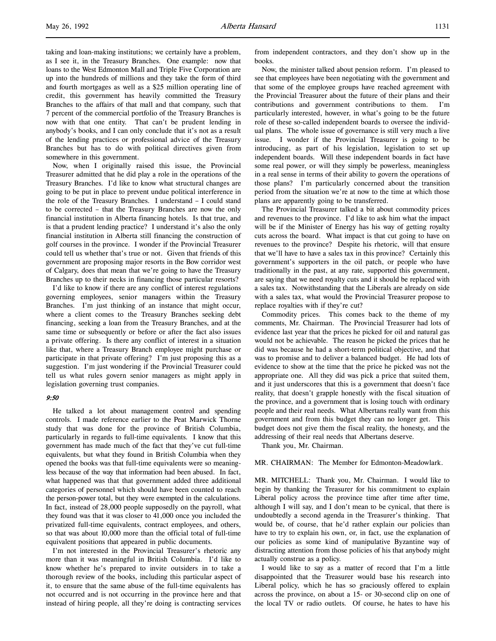taking and loan-making institutions; we certainly have a problem, as I see it, in the Treasury Branches. One example: now that loans to the West Edmonton Mall and Triple Five Corporation are up into the hundreds of millions and they take the form of third and fourth mortgages as well as a \$25 million operating line of credit, this government has heavily committed the Treasury Branches to the affairs of that mall and that company, such that 7 percent of the commercial portfolio of the Treasury Branches is now with that one entity. That can't be prudent lending in anybody's books, and I can only conclude that it's not as a result of the lending practices or professional advice of the Treasury Branches but has to do with political directives given from somewhere in this government.

Now, when I originally raised this issue, the Provincial Treasurer admitted that he did play a role in the operations of the Treasury Branches. I'd like to know what structural changes are going to be put in place to prevent undue political interference in the role of the Treasury Branches. I understand – I could stand to be corrected – that the Treasury Branches are now the only financial institution in Alberta financing hotels. Is that true, and is that a prudent lending practice? I understand it's also the only financial institution in Alberta still financing the construction of golf courses in the province. I wonder if the Provincial Treasurer could tell us whether that's true or not. Given that friends of this government are proposing major resorts in the Bow corridor west of Calgary, does that mean that we're going to have the Treasury Branches up to their necks in financing those particular resorts?

I'd like to know if there are any conflict of interest regulations governing employees, senior managers within the Treasury Branches. I'm just thinking of an instance that might occur, where a client comes to the Treasury Branches seeking debt financing, seeking a loan from the Treasury Branches, and at the same time or subsequently or before or after the fact also issues a private offering. Is there any conflict of interest in a situation like that, where a Treasury Branch employee might purchase or participate in that private offering? I'm just proposing this as a suggestion. I'm just wondering if the Provincial Treasurer could tell us what rules govern senior managers as might apply in legislation governing trust companies.

### 9:50

He talked a lot about management control and spending controls. I made reference earlier to the Peat Marwick Thorne study that was done for the province of British Columbia, particularly in regards to full-time equivalents. I know that this government has made much of the fact that they've cut full-time equivalents, but what they found in British Columbia when they opened the books was that full-time equivalents were so meaningless because of the way that information had been abused. In fact, what happened was that that government added three additional categories of personnel which should have been counted to reach the person-power total, but they were exempted in the calculations. In fact, instead of 28,000 people supposedly on the payroll, what they found was that it was closer to 41,000 once you included the privatized full-time equivalents, contract employees, and others, so that was about 10,000 more than the official total of full-time equivalent positions that appeared in public documents.

I'm not interested in the Provincial Treasurer's rhetoric any more than it was meaningful in British Columbia. I'd like to know whether he's prepared to invite outsiders in to take a thorough review of the books, including this particular aspect of it, to ensure that the same abuse of the full-time equivalents has not occurred and is not occurring in the province here and that instead of hiring people, all they're doing is contracting services

from independent contractors, and they don't show up in the books.

Now, the minister talked about pension reform. I'm pleased to see that employees have been negotiating with the government and that some of the employee groups have reached agreement with the Provincial Treasurer about the future of their plans and their contributions and government contributions to them. I'm particularly interested, however, in what's going to be the future role of these so-called independent boards to oversee the individual plans. The whole issue of governance is still very much a live issue. I wonder if the Provincial Treasurer is going to be introducing, as part of his legislation, legislation to set up independent boards. Will these independent boards in fact have some real power, or will they simply be powerless, meaningless in a real sense in terms of their ability to govern the operations of those plans? I'm particularly concerned about the transition period from the situation we're at now to the time at which those plans are apparently going to be transferred.

The Provincial Treasurer talked a bit about commodity prices and revenues to the province. I'd like to ask him what the impact will be if the Minister of Energy has his way of getting royalty cuts across the board. What impact is that cut going to have on revenues to the province? Despite his rhetoric, will that ensure that we'll have to have a sales tax in this province? Certainly this government's supporters in the oil patch, or people who have traditionally in the past, at any rate, supported this government, are saying that we need royalty cuts and it should be replaced with a sales tax. Notwithstanding that the Liberals are already on side with a sales tax, what would the Provincial Treasurer propose to replace royalties with if they're cut?

Commodity prices. This comes back to the theme of my comments, Mr. Chairman. The Provincial Treasurer had lots of evidence last year that the prices he picked for oil and natural gas would not be achievable. The reason he picked the prices that he did was because he had a short-term political objective, and that was to promise and to deliver a balanced budget. He had lots of evidence to show at the time that the price he picked was not the appropriate one. All they did was pick a price that suited them, and it just underscores that this is a government that doesn't face reality, that doesn't grapple honestly with the fiscal situation of the province, and a government that is losing touch with ordinary people and their real needs. What Albertans really want from this government and from this budget they can no longer get. This budget does not give them the fiscal reality, the honesty, and the addressing of their real needs that Albertans deserve.

Thank you, Mr. Chairman.

## MR. CHAIRMAN: The Member for Edmonton-Meadowlark.

MR. MITCHELL: Thank you, Mr. Chairman. I would like to begin by thanking the Treasurer for his commitment to explain Liberal policy across the province time after time after time, although I will say, and I don't mean to be cynical, that there is undoubtedly a second agenda in the Treasurer's thinking. That would be, of course, that he'd rather explain our policies than have to try to explain his own, or, in fact, use the explanation of our policies as some kind of manipulative Byzantine way of distracting attention from those policies of his that anybody might actually construe as a policy.

I would like to say as a matter of record that I'm a little disappointed that the Treasurer would base his research into Liberal policy, which he has so graciously offered to explain across the province, on about a 15- or 30-second clip on one of the local TV or radio outlets. Of course, he hates to have his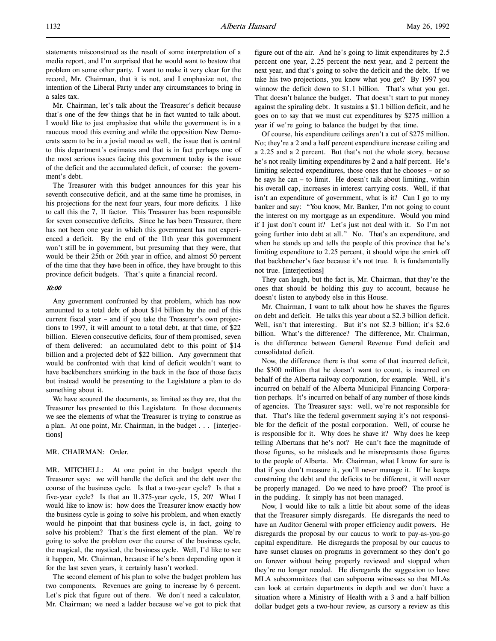statements misconstrued as the result of some interpretation of a media report, and I'm surprised that he would want to bestow that problem on some other party. I want to make it very clear for the record, Mr. Chairman, that it is not, and I emphasize not, the intention of the Liberal Party under any circumstances to bring in a sales tax.

Mr. Chairman, let's talk about the Treasurer's deficit because that's one of the few things that he in fact wanted to talk about. I would like to just emphasize that while the government is in a raucous mood this evening and while the opposition New Democrats seem to be in a jovial mood as well, the issue that is central to this department's estimates and that is in fact perhaps one of the most serious issues facing this government today is the issue of the deficit and the accumulated deficit, of course: the government's debt.

The Treasurer with this budget announces for this year his seventh consecutive deficit, and at the same time he promises, in his projections for the next four years, four more deficits. I like to call this the 7, 11 factor. This Treasurer has been responsible for seven consecutive deficits. Since he has been Treasurer, there has not been one year in which this government has not experienced a deficit. By the end of the 11th year this government won't still be in government, but presuming that they were, that would be their 25th or 26th year in office, and almost 50 percent of the time that they have been in office, they have brought to this province deficit budgets. That's quite a financial record.

### 10:00

Any government confronted by that problem, which has now amounted to a total debt of about \$14 billion by the end of this current fiscal year – and if you take the Treasurer's own projections to 1997, it will amount to a total debt, at that time, of \$22 billion. Eleven consecutive deficits, four of them promised, seven of them delivered: an accumulated debt to this point of \$14 billion and a projected debt of \$22 billion. Any government that would be confronted with that kind of deficit wouldn't want to have backbenchers smirking in the back in the face of those facts but instead would be presenting to the Legislature a plan to do something about it.

We have scoured the documents, as limited as they are, that the Treasurer has presented to this Legislature. In those documents we see the elements of what the Treasurer is trying to construe as a plan. At one point, Mr. Chairman, in the budget . . . [interjections]

## MR. CHAIRMAN: Order.

MR. MITCHELL: At one point in the budget speech the Treasurer says: we will handle the deficit and the debt over the course of the business cycle. Is that a two-year cycle? Is that a five-year cycle? Is that an 11.375-year cycle, 15, 20? What I would like to know is: how does the Treasurer know exactly how the business cycle is going to solve his problem, and when exactly would he pinpoint that that business cycle is, in fact, going to solve his problem? That's the first element of the plan. We're going to solve the problem over the course of the business cycle, the magical, the mystical, the business cycle. Well, I'd like to see it happen, Mr. Chairman, because if he's been depending upon it for the last seven years, it certainly hasn't worked.

The second element of his plan to solve the budget problem has two components. Revenues are going to increase by 6 percent. Let's pick that figure out of there. We don't need a calculator, Mr. Chairman; we need a ladder because we've got to pick that

figure out of the air. And he's going to limit expenditures by 2.5 percent one year, 2.25 percent the next year, and 2 percent the next year, and that's going to solve the deficit and the debt. If we take his two projections, you know what you get? By 1997 you winnow the deficit down to \$1.1 billion. That's what you get. That doesn't balance the budget. That doesn't start to put money against the spiraling debt. It sustains a \$1.1 billion deficit, and he goes on to say that we must cut expenditures by \$275 million a year if we're going to balance the budget by that time.

Of course, his expenditure ceilings aren't a cut of \$275 million. No; they're a 2 and a half percent expenditure increase ceiling and a 2.25 and a 2 percent. But that's not the whole story, because he's not really limiting expenditures by 2 and a half percent. He's limiting selected expenditures, those ones that he chooses – or so he says he can – to limit. He doesn't talk about limiting, within his overall cap, increases in interest carrying costs. Well, if that isn't an expenditure of government, what is it? Can I go to my banker and say: "You know, Mr. Banker, I'm not going to count the interest on my mortgage as an expenditure. Would you mind if I just don't count it? Let's just not deal with it. So I'm not going further into debt at all." No. That's an expenditure, and when he stands up and tells the people of this province that he's limiting expenditure to 2.25 percent, it should wipe the smirk off that backbencher's face because it's not true. It is fundamentally not true. [interjections]

They can laugh, but the fact is, Mr. Chairman, that they're the ones that should be holding this guy to account, because he doesn't listen to anybody else in this House.

Mr. Chairman, I want to talk about how he shaves the figures on debt and deficit. He talks this year about a \$2.3 billion deficit. Well, isn't that interesting. But it's not \$2.3 billion; it's \$2.6 billion. What's the difference? The difference, Mr. Chairman, is the difference between General Revenue Fund deficit and consolidated deficit.

Now, the difference there is that some of that incurred deficit, the \$300 million that he doesn't want to count, is incurred on behalf of the Alberta railway corporation, for example. Well, it's incurred on behalf of the Alberta Municipal Financing Corporation perhaps. It's incurred on behalf of any number of those kinds of agencies. The Treasurer says: well, we're not responsible for that. That's like the federal government saying it's not responsible for the deficit of the postal corporation. Well, of course he is responsible for it. Why does he shave it? Why does he keep telling Albertans that he's not? He can't face the magnitude of those figures, so he misleads and he misrepresents those figures to the people of Alberta. Mr. Chairman, what I know for sure is that if you don't measure it, you'll never manage it. If he keeps construing the debt and the deficits to be different, it will never be properly managed. Do we need to have proof? The proof is in the pudding. It simply has not been managed.

Now, I would like to talk a little bit about some of the ideas that the Treasurer simply disregards. He disregards the need to have an Auditor General with proper efficiency audit powers. He disregards the proposal by our caucus to work to pay-as-you-go capital expenditure. He disregards the proposal by our caucus to have sunset clauses on programs in government so they don't go on forever without being properly reviewed and stopped when they're no longer needed. He disregards the suggestion to have MLA subcommittees that can subpoena witnesses so that MLAs can look at certain departments in depth and we don't have a situation where a Ministry of Health with a 3 and a half billion dollar budget gets a two-hour review, as cursory a review as this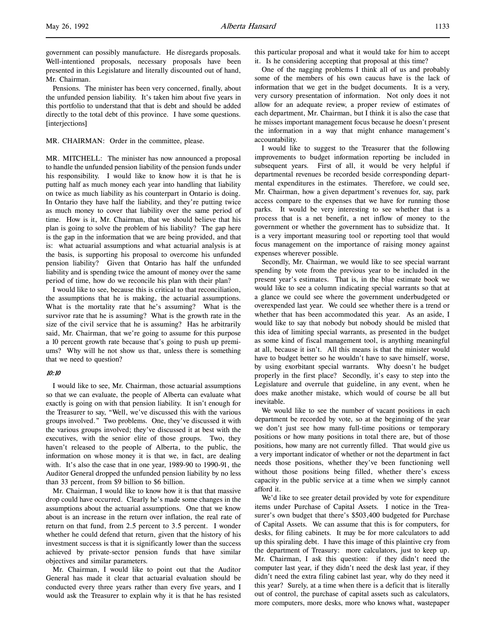Pensions. The minister has been very concerned, finally, about the unfunded pension liability. It's taken him about five years in this portfolio to understand that that is debt and should be added directly to the total debt of this province. I have some questions. [interjections]

MR. CHAIRMAN: Order in the committee, please.

MR. MITCHELL: The minister has now announced a proposal to handle the unfunded pension liability of the pension funds under his responsibility. I would like to know how it is that he is putting half as much money each year into handling that liability on twice as much liability as his counterpart in Ontario is doing. In Ontario they have half the liability, and they're putting twice as much money to cover that liability over the same period of time. How is it, Mr. Chairman, that we should believe that his plan is going to solve the problem of his liability? The gap here is the gap in the information that we are being provided, and that is: what actuarial assumptions and what actuarial analysis is at the basis, is supporting his proposal to overcome his unfunded pension liability? Given that Ontario has half the unfunded liability and is spending twice the amount of money over the same period of time, how do we reconcile his plan with their plan?

I would like to see, because this is critical to that reconciliation, the assumptions that he is making, the actuarial assumptions. What is the mortality rate that he's assuming? What is the survivor rate that he is assuming? What is the growth rate in the size of the civil service that he is assuming? Has he arbitrarily said, Mr. Chairman, that we're going to assume for this purpose a 10 percent growth rate because that's going to push up premiums? Why will he not show us that, unless there is something that we need to question?

### 10:10

I would like to see, Mr. Chairman, those actuarial assumptions so that we can evaluate, the people of Alberta can evaluate what exactly is going on with that pension liability. It isn't enough for the Treasurer to say, "Well, we've discussed this with the various groups involved." Two problems. One, they've discussed it with the various groups involved; they've discussed it at best with the executives, with the senior elite of those groups. Two, they haven't released to the people of Alberta, to the public, the information on whose money it is that we, in fact, are dealing with. It's also the case that in one year, 1989-90 to 1990-91, the Auditor General dropped the unfunded pension liability by no less than 33 percent, from \$9 billion to \$6 billion.

Mr. Chairman, I would like to know how it is that that massive drop could have occurred. Clearly he's made some changes in the assumptions about the actuarial assumptions. One that we know about is an increase in the return over inflation, the real rate of return on that fund, from 2.5 percent to 3.5 percent. I wonder whether he could defend that return, given that the history of his investment success is that it is significantly lower than the success achieved by private-sector pension funds that have similar objectives and similar parameters.

Mr. Chairman, I would like to point out that the Auditor General has made it clear that actuarial evaluation should be conducted every three years rather than every five years, and I would ask the Treasurer to explain why it is that he has resisted

this particular proposal and what it would take for him to accept it. Is he considering accepting that proposal at this time?

One of the nagging problems I think all of us and probably some of the members of his own caucus have is the lack of information that we get in the budget documents. It is a very, very cursory presentation of information. Not only does it not allow for an adequate review, a proper review of estimates of each department, Mr. Chairman, but I think it is also the case that he misses important management focus because he doesn't present the information in a way that might enhance management's accountability.

I would like to suggest to the Treasurer that the following improvements to budget information reporting be included in subsequent years. First of all, it would be very helpful if departmental revenues be recorded beside corresponding departmental expenditures in the estimates. Therefore, we could see, Mr. Chairman, how a given department's revenues for, say, park access compare to the expenses that we have for running those parks. It would be very interesting to see whether that is a process that is a net benefit, a net inflow of money to the government or whether the government has to subsidize that. It is a very important measuring tool or reporting tool that would focus management on the importance of raising money against expenses wherever possible.

Secondly, Mr. Chairman, we would like to see special warrant spending by vote from the previous year to be included in the present year's estimates. That is, in the blue estimate book we would like to see a column indicating special warrants so that at a glance we could see where the government underbudgeted or overexpended last year. We could see whether there is a trend or whether that has been accommodated this year. As an aside, I would like to say that nobody but nobody should be misled that this idea of limiting special warrants, as presented in the budget as some kind of fiscal management tool, is anything meaningful at all, because it isn't. All this means is that the minister would have to budget better so he wouldn't have to save himself, worse, by using exorbitant special warrants. Why doesn't he budget properly in the first place? Secondly, it's easy to step into the Legislature and overrule that guideline, in any event, when he does make another mistake, which would of course be all but inevitable.

We would like to see the number of vacant positions in each department be recorded by vote, so at the beginning of the year we don't just see how many full-time positions or temporary positions or how many positions in total there are, but of those positions, how many are not currently filled. That would give us a very important indicator of whether or not the department in fact needs those positions, whether they've been functioning well without those positions being filled, whether there's excess capacity in the public service at a time when we simply cannot afford it.

We'd like to see greater detail provided by vote for expenditure items under Purchase of Capital Assets. I notice in the Treasurer's own budget that there's \$503,400 budgeted for Purchase of Capital Assets. We can assume that this is for computers, for desks, for filing cabinets. It may be for more calculators to add up this spiraling debt. I have this image of this plaintive cry from the department of Treasury: more calculators, just to keep up. Mr. Chairman, I ask this question: if they didn't need the computer last year, if they didn't need the desk last year, if they didn't need the extra filing cabinet last year, why do they need it this year? Surely, at a time when there is a deficit that is literally out of control, the purchase of capital assets such as calculators, more computers, more desks, more who knows what, wastepaper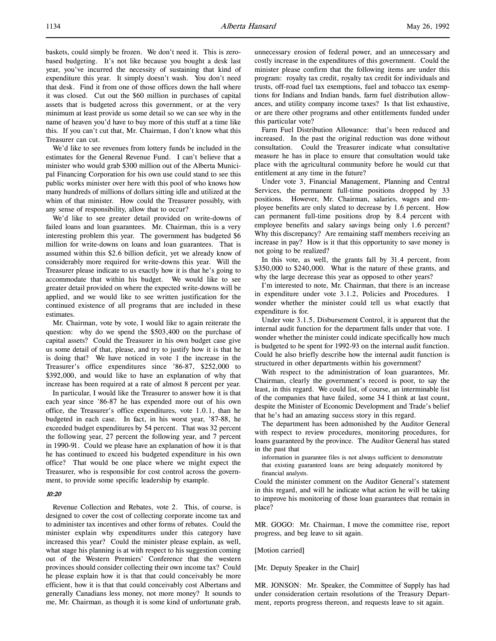baskets, could simply be frozen. We don't need it. This is zerobased budgeting. It's not like because you bought a desk last year, you've incurred the necessity of sustaining that kind of expenditure this year. It simply doesn't wash. You don't need that desk. Find it from one of those offices down the hall where it was closed. Cut out the \$60 million in purchases of capital assets that is budgeted across this government, or at the very minimum at least provide us some detail so we can see why in the name of heaven you'd have to buy more of this stuff at a time like this. If you can't cut that, Mr. Chairman, I don't know what this Treasurer can cut.

We'd like to see revenues from lottery funds be included in the estimates for the General Revenue Fund. I can't believe that a minister who would grab \$300 million out of the Alberta Municipal Financing Corporation for his own use could stand to see this public works minister over here with this pool of who knows how many hundreds of millions of dollars sitting idle and utilized at the whim of that minister. How could the Treasurer possibly, with any sense of responsibility, allow that to occur?

We'd like to see greater detail provided on write-downs of failed loans and loan guarantees. Mr. Chairman, this is a very interesting problem this year. The government has budgeted \$6 million for write-downs on loans and loan guarantees. That is assumed within this \$2.6 billion deficit, yet we already know of considerably more required for write-downs this year. Will the Treasurer please indicate to us exactly how it is that he's going to accommodate that within his budget. We would like to see greater detail provided on where the expected write-downs will be applied, and we would like to see written justification for the continued existence of all programs that are included in these estimates.

Mr. Chairman, vote by vote, I would like to again reiterate the question: why do we spend the \$503,400 on the purchase of capital assets? Could the Treasurer in his own budget case give us some detail of that, please, and try to justify how it is that he is doing that? We have noticed in vote 1 the increase in the Treasurer's office expenditures since '86-87, \$252,000 to \$392,000, and would like to have an explanation of why that increase has been required at a rate of almost 8 percent per year.

In particular, I would like the Treasurer to answer how it is that each year since '86-87 he has expended more out of his own office, the Treasurer's office expenditures, vote 1.0.1, than he budgeted in each case. In fact, in his worst year, '87-88, he exceeded budget expenditures by 54 percent. That was 32 percent the following year, 27 percent the following year, and 7 percent in 1990-91. Could we please have an explanation of how it is that he has continued to exceed his budgeted expenditure in his own office? That would be one place where we might expect the Treasurer, who is responsible for cost control across the government, to provide some specific leadership by example.

## 10:20

Revenue Collection and Rebates, vote 2. This, of course, is designed to cover the cost of collecting corporate income tax and to administer tax incentives and other forms of rebates. Could the minister explain why expenditures under this category have increased this year? Could the minister please explain, as well, what stage his planning is at with respect to his suggestion coming out of the Western Premiers' Conference that the western provinces should consider collecting their own income tax? Could he please explain how it is that that could conceivably be more efficient, how it is that that could conceivably cost Albertans and generally Canadians less money, not more money? It sounds to me, Mr. Chairman, as though it is some kind of unfortunate grab,

unnecessary erosion of federal power, and an unnecessary and costly increase in the expenditures of this government. Could the minister please confirm that the following items are under this program: royalty tax credit, royalty tax credit for individuals and trusts, off-road fuel tax exemptions, fuel and tobacco tax exemptions for Indians and Indian bands, farm fuel distribution allowances, and utility company income taxes? Is that list exhaustive, or are there other programs and other entitlements funded under this particular vote?

Farm Fuel Distribution Allowance: that's been reduced and increased. In the past the original reduction was done without consultation. Could the Treasurer indicate what consultative measure he has in place to ensure that consultation would take place with the agricultural community before he would cut that entitlement at any time in the future?

Under vote 3, Financial Management, Planning and Central Services, the permanent full-time positions dropped by 33 positions. However, Mr. Chairman, salaries, wages and employee benefits are only slated to decrease by 1.6 percent. How can permanent full-time positions drop by 8.4 percent with employee benefits and salary savings being only 1.6 percent? Why this discrepancy? Are remaining staff members receiving an increase in pay? How is it that this opportunity to save money is not going to be realized?

In this vote, as well, the grants fall by 31.4 percent, from \$350,000 to \$240,000. What is the nature of these grants, and why the large decrease this year as opposed to other years?

I'm interested to note, Mr. Chairman, that there is an increase in expenditure under vote 3.1.2, Policies and Procedures. I wonder whether the minister could tell us what exactly that expenditure is for.

Under vote 3.1.5, Disbursement Control, it is apparent that the internal audit function for the department falls under that vote. I wonder whether the minister could indicate specifically how much is budgeted to be spent for 1992-93 on the internal audit function. Could he also briefly describe how the internal audit function is structured in other departments within his government?

With respect to the administration of loan guarantees, Mr. Chairman, clearly the government's record is poor, to say the least, in this regard. We could list, of course, an interminable list of the companies that have failed, some 34 I think at last count, despite the Minister of Economic Development and Trade's belief that he's had an amazing success story in this regard.

The department has been admonished by the Auditor General with respect to review procedures, monitoring procedures, for loans guaranteed by the province. The Auditor General has stated in the past that

information in guarantee files is not always sufficient to demonstrate that existing guaranteed loans are being adequately monitored by financial analysts.

Could the minister comment on the Auditor General's statement in this regard, and will he indicate what action he will be taking to improve his monitoring of those loan guarantees that remain in place?

MR. GOGO: Mr. Chairman, I move the committee rise, report progress, and beg leave to sit again.

[Motion carried]

[Mr. Deputy Speaker in the Chair]

MR. JONSON: Mr. Speaker, the Committee of Supply has had under consideration certain resolutions of the Treasury Department, reports progress thereon, and requests leave to sit again.